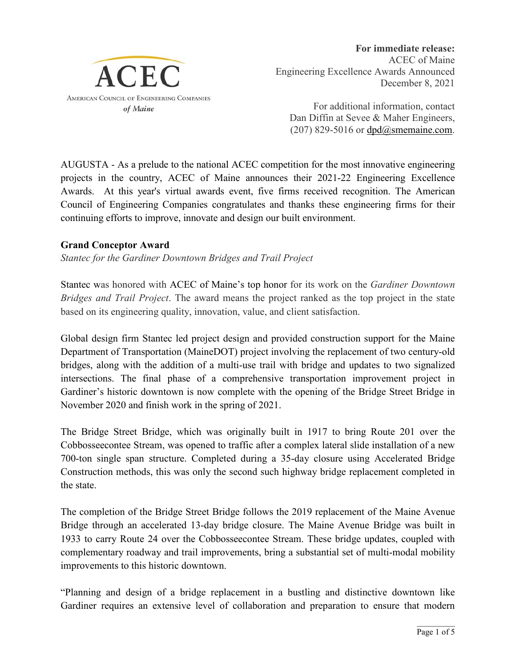

**For immediate release:** ACEC of Maine Engineering Excellence Awards Announced December 8, 2021

For additional information, contact Dan Diffin at Sevee & Maher Engineers,  $(207)$  829-5016 or  $dpd@smemaine.com$ .

AUGUSTA - As a prelude to the national ACEC competition for the most innovative engineering projects in the country, ACEC of Maine announces their 2021-22 Engineering Excellence Awards. At this year's virtual awards event, five firms received recognition. The American Council of Engineering Companies congratulates and thanks these engineering firms for their continuing efforts to improve, innovate and design our built environment.

# **Grand Conceptor Award**

*Stantec for the Gardiner Downtown Bridges and Trail Project*

Stantec was honored with ACEC of Maine's top honor for its work on the *Gardiner Downtown Bridges and Trail Project*. The award means the project ranked as the top project in the state based on its engineering quality, innovation, value, and client satisfaction.

Global design firm Stantec led project design and provided construction support for the Maine Department of Transportation (MaineDOT) project involving the replacement of two century-old bridges, along with the addition of a multi-use trail with bridge and updates to two signalized intersections. The final phase of a comprehensive transportation improvement project in Gardiner's historic downtown is now complete with the opening of the Bridge Street Bridge in November 2020 and finish work in the spring of 2021.

The Bridge Street Bridge, which was originally built in 1917 to bring Route 201 over the Cobbosseecontee Stream, was opened to traffic after a complex lateral slide installation of a new 700-ton single span structure. Completed during a 35-day closure using Accelerated Bridge Construction methods, this was only the second such highway bridge replacement completed in the state.

The completion of the Bridge Street Bridge follows the 2019 replacement of the Maine Avenue Bridge through an accelerated 13-day bridge closure. The Maine Avenue Bridge was built in 1933 to carry Route 24 over the Cobbosseecontee Stream. These bridge updates, coupled with complementary roadway and trail improvements, bring a substantial set of multi-modal mobility improvements to this historic downtown.

"Planning and design of a bridge replacement in a bustling and distinctive downtown like Gardiner requires an extensive level of collaboration and preparation to ensure that modern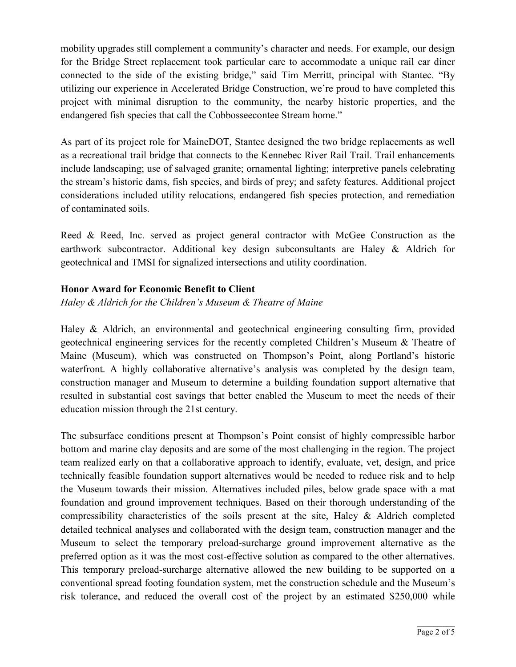mobility upgrades still complement a community's character and needs. For example, our design for the Bridge Street replacement took particular care to accommodate a unique rail car diner connected to the side of the existing bridge," said Tim Merritt, principal with Stantec. "By utilizing our experience in Accelerated Bridge Construction, we're proud to have completed this project with minimal disruption to the community, the nearby historic properties, and the endangered fish species that call the Cobbosseecontee Stream home."

As part of its project role for MaineDOT, Stantec designed the two bridge replacements as well as a recreational trail bridge that connects to the Kennebec River Rail Trail. Trail enhancements include landscaping; use of salvaged granite; ornamental lighting; interpretive panels celebrating the stream's historic dams, fish species, and birds of prey; and safety features. Additional project considerations included utility relocations, endangered fish species protection, and remediation of contaminated soils.

Reed & Reed, Inc. served as project general contractor with McGee Construction as the earthwork subcontractor. Additional key design subconsultants are Haley & Aldrich for geotechnical and TMSI for signalized intersections and utility coordination.

### **Honor Award for Economic Benefit to Client**

*Haley & Aldrich for the Children's Museum & Theatre of Maine* 

Haley & Aldrich, an environmental and geotechnical engineering consulting firm, provided geotechnical engineering services for the recently completed Children's Museum & Theatre of Maine (Museum), which was constructed on Thompson's Point, along Portland's historic waterfront. A highly collaborative alternative's analysis was completed by the design team, construction manager and Museum to determine a building foundation support alternative that resulted in substantial cost savings that better enabled the Museum to meet the needs of their education mission through the 21st century.

The subsurface conditions present at Thompson's Point consist of highly compressible harbor bottom and marine clay deposits and are some of the most challenging in the region. The project team realized early on that a collaborative approach to identify, evaluate, vet, design, and price technically feasible foundation support alternatives would be needed to reduce risk and to help the Museum towards their mission. Alternatives included piles, below grade space with a mat foundation and ground improvement techniques. Based on their thorough understanding of the compressibility characteristics of the soils present at the site, Haley & Aldrich completed detailed technical analyses and collaborated with the design team, construction manager and the Museum to select the temporary preload-surcharge ground improvement alternative as the preferred option as it was the most cost-effective solution as compared to the other alternatives. This temporary preload-surcharge alternative allowed the new building to be supported on a conventional spread footing foundation system, met the construction schedule and the Museum's risk tolerance, and reduced the overall cost of the project by an estimated \$250,000 while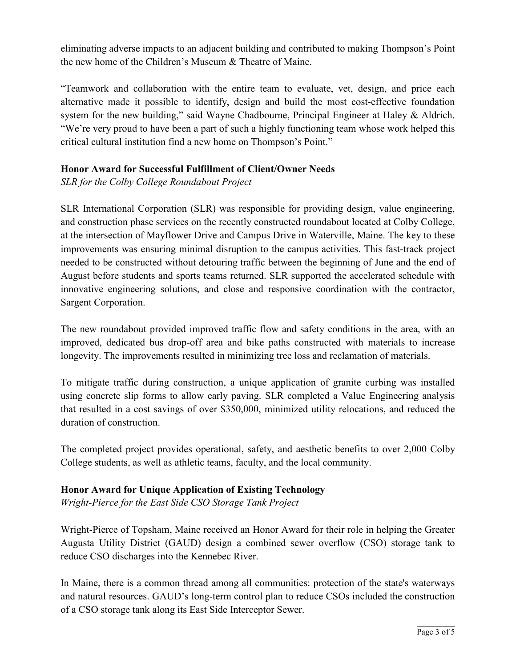eliminating adverse impacts to an adjacent building and contributed to making Thompson's Point the new home of the Children's Museum & Theatre of Maine.

"Teamwork and collaboration with the entire team to evaluate, vet, design, and price each alternative made it possible to identify, design and build the most cost-effective foundation system for the new building," said Wayne Chadbourne, Principal Engineer at Haley & Aldrich. "We're very proud to have been a part of such a highly functioning team whose work helped this critical cultural institution find a new home on Thompson's Point."

# **Honor Award for Successful Fulfillment of Client/Owner Needs**

*SLR for the Colby College Roundabout Project*

SLR International Corporation (SLR) was responsible for providing design, value engineering, and construction phase services on the recently constructed roundabout located at Colby College, at the intersection of Mayflower Drive and Campus Drive in Waterville, Maine. The key to these improvements was ensuring minimal disruption to the campus activities. This fast-track project needed to be constructed without detouring traffic between the beginning of June and the end of August before students and sports teams returned. SLR supported the accelerated schedule with innovative engineering solutions, and close and responsive coordination with the contractor, Sargent Corporation.

The new roundabout provided improved traffic flow and safety conditions in the area, with an improved, dedicated bus drop-off area and bike paths constructed with materials to increase longevity. The improvements resulted in minimizing tree loss and reclamation of materials.

To mitigate traffic during construction, a unique application of granite curbing was installed using concrete slip forms to allow early paving. SLR completed a Value Engineering analysis that resulted in a cost savings of over \$350,000, minimized utility relocations, and reduced the duration of construction.

The completed project provides operational, safety, and aesthetic benefits to over 2,000 Colby College students, as well as athletic teams, faculty, and the local community.

# **Honor Award for Unique Application of Existing Technology**

*Wright-Pierce for the East Side CSO Storage Tank Project* 

Wright-Pierce of Topsham, Maine received an Honor Award for their role in helping the Greater Augusta Utility District (GAUD) design a combined sewer overflow (CSO) storage tank to reduce CSO discharges into the Kennebec River.

In Maine, there is a common thread among all communities: protection of the state's waterways and natural resources. GAUD's long-term control plan to reduce CSOs included the construction of a CSO storage tank along its East Side Interceptor Sewer.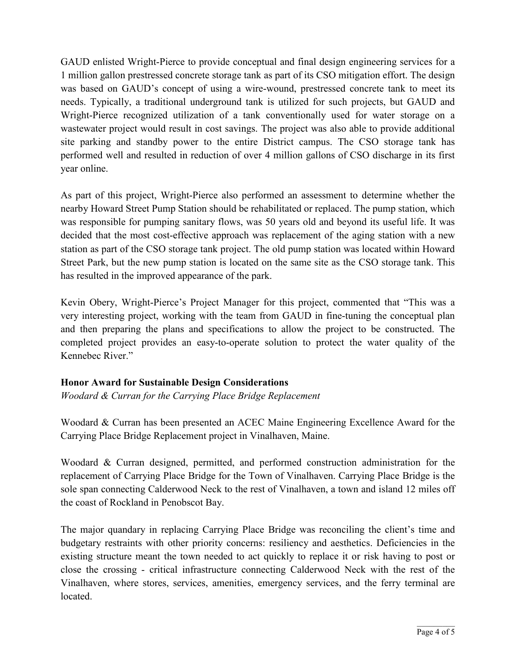GAUD enlisted Wright-Pierce to provide conceptual and final design engineering services for a 1 million gallon prestressed concrete storage tank as part of its CSO mitigation effort. The design was based on GAUD's concept of using a wire-wound, prestressed concrete tank to meet its needs. Typically, a traditional underground tank is utilized for such projects, but GAUD and Wright-Pierce recognized utilization of a tank conventionally used for water storage on a wastewater project would result in cost savings. The project was also able to provide additional site parking and standby power to the entire District campus. The CSO storage tank has performed well and resulted in reduction of over 4 million gallons of CSO discharge in its first year online.

As part of this project, Wright-Pierce also performed an assessment to determine whether the nearby Howard Street Pump Station should be rehabilitated or replaced. The pump station, which was responsible for pumping sanitary flows, was 50 years old and beyond its useful life. It was decided that the most cost-effective approach was replacement of the aging station with a new station as part of the CSO storage tank project. The old pump station was located within Howard Street Park, but the new pump station is located on the same site as the CSO storage tank. This has resulted in the improved appearance of the park.

Kevin Obery, Wright-Pierce's Project Manager for this project, commented that "This was a very interesting project, working with the team from GAUD in fine-tuning the conceptual plan and then preparing the plans and specifications to allow the project to be constructed. The completed project provides an easy-to-operate solution to protect the water quality of the Kennebec River."

# **Honor Award for Sustainable Design Considerations**

*Woodard & Curran for the Carrying Place Bridge Replacement* 

Woodard & Curran has been presented an ACEC Maine Engineering Excellence Award for the Carrying Place Bridge Replacement project in Vinalhaven, Maine.

Woodard & Curran designed, permitted, and performed construction administration for the replacement of Carrying Place Bridge for the Town of Vinalhaven. Carrying Place Bridge is the sole span connecting Calderwood Neck to the rest of Vinalhaven, a town and island 12 miles off the coast of Rockland in Penobscot Bay.

The major quandary in replacing Carrying Place Bridge was reconciling the client's time and budgetary restraints with other priority concerns: resiliency and aesthetics. Deficiencies in the existing structure meant the town needed to act quickly to replace it or risk having to post or close the crossing - critical infrastructure connecting Calderwood Neck with the rest of the Vinalhaven, where stores, services, amenities, emergency services, and the ferry terminal are located.